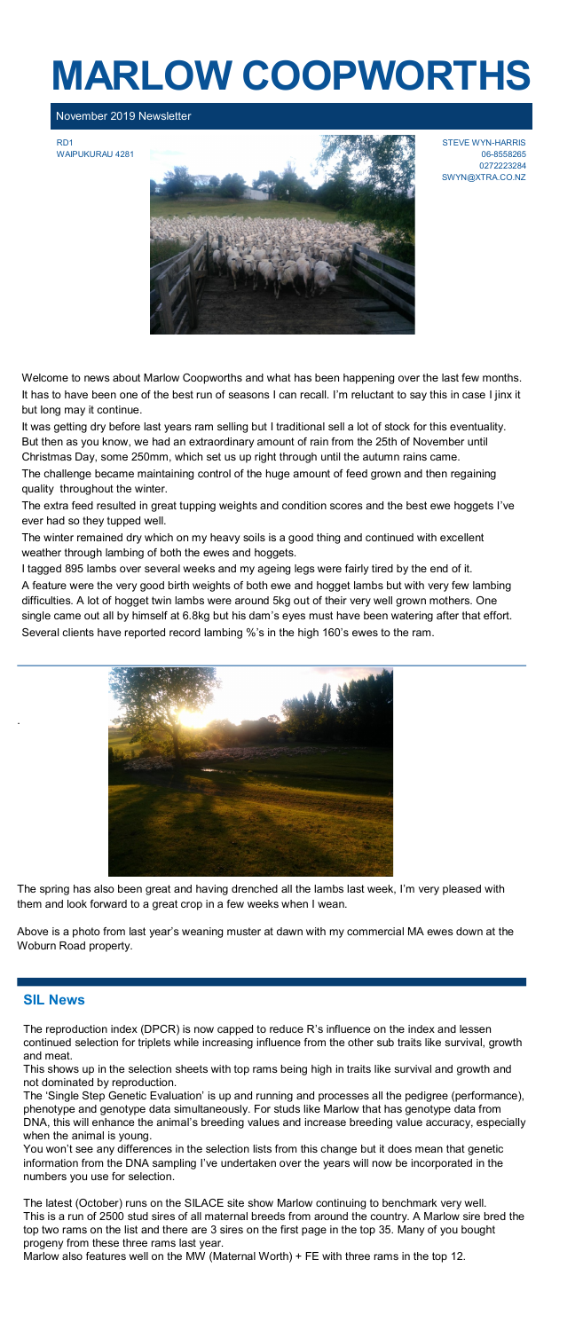## **MARLOW COOPWORTHS**

November 2019 Newsletter

RD1 WAIPUKURAU 4281



STEVE WYN-HARRIS 06-8558265 0272223284 SWYN@XTRA.CO.NZ

Welcome to news about Marlow Coopworths and what has been happening over the last few months. It has to have been one of the best run of seasons I can recall. I'm reluctant to say this in case I jinx it but long may it continue.

It was getting dry before last years ram selling but I traditional sell a lot of stock for this eventuality. But then as you know, we had an extraordinary amount of rain from the 25th of November until Christmas Day, some 250mm, which set us up right through until the autumn rains came.

The challenge became maintaining control of the huge amount of feed grown and then regaining quality throughout the winter.

The extra feed resulted in great tupping weights and condition scores and the best ewe hoggets I've ever had so they tupped well.

The winter remained dry which on my heavy soils is a good thing and continued with excellent weather through lambing of both the ewes and hoggets.

I tagged 895 lambs over several weeks and my ageing legs were fairly tired by the end of it. A feature were the very good birth weights of both ewe and hogget lambs but with very few lambing difficulties. A lot of hogget twin lambs were around 5kg out of their very well grown mothers. One single came out all by himself at 6.8kg but his dam's eyes must have been watering after that effort. Several clients have reported record lambing %'s in the high 160's ewes to the ram.



The spring has also been great and having drenched all the lambs last week, I'm very pleased with them and look forward to a great crop in a few weeks when I wean.

Above is a photo from last year's weaning muster at dawn with my commercial MA ewes down at the Woburn Road property.

## **SIL News**

.

The reproduction index (DPCR) is now capped to reduce R's influence on the index and lessen continued selection for triplets while increasing influence from the other sub traits like survival, growth and meat.

This shows up in the selection sheets with top rams being high in traits like survival and growth and not dominated by reproduction.

The 'Single Step Genetic Evaluation' is up and running and processes all the pedigree (performance), phenotype and genotype data simultaneously. For studs like Marlow that has genotype data from DNA, this will enhance the animal's breeding values and increase breeding value accuracy, especially when the animal is young.

You won't see any differences in the selection lists from this change but it does mean that genetic information from the DNA sampling I've undertaken over the years will now be incorporated in the numbers you use for selection.

The latest (October) runs on the SILACE site show Marlow continuing to benchmark very well. This is a run of 2500 stud sires of all maternal breeds from around the country. A Marlow sire bred the top two rams on the list and there are 3 sires on the first page in the top 35. Many of you bought progeny from these three rams last year.

Marlow also features well on the MW (Maternal Worth) + FE with three rams in the top 12.